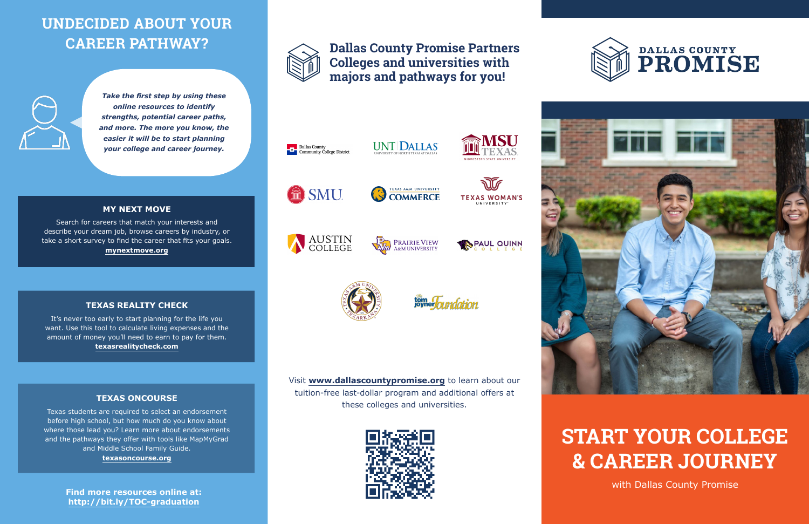## **UNDECIDED ABOUT YOUR CAREER PATHWAY?**



#### **TEXAS REALITY CHECK**

#### **TEXAS ONCOURSE**

*Take the first step by using these online resources to identify strengths, potential career paths, and more. The more you know, the easier it will be to start planning your college and career journey.* 



It's never too early to start planning for the life you want. Use this tool to calculate living expenses and the amount of money you'll need to earn to pay for them. **texasrealitycheck.com**

Texas students are required to select an endorsement before high school, but how much do you know about where those lead you? Learn more about endorsements and the pathways they offer with tools like MapMyGrad and Middle School Family Guide. **texasoncourse.org**



Search for careers that match your interests and describe your dream job, browse careers by industry, or take a short survey to find the career that fits your goals. **mynextmove.org**



SMU.







tom Toundation

**Find more resources online at: http://bit.ly/TOC-graduation**





Visit **www.dallascountypromise.org** to learn about our tuition-free last-dollar program and additional offers at these colleges and universities.





### **Dallas County Promise Partners Colleges and universities with majors and pathways for you!**





**TEXAS A&M UNIVERSITY** 

**COMMERCE** 





# **START YOUR COLLEGE & CAREER JOURNEY**

with Dallas County Promise